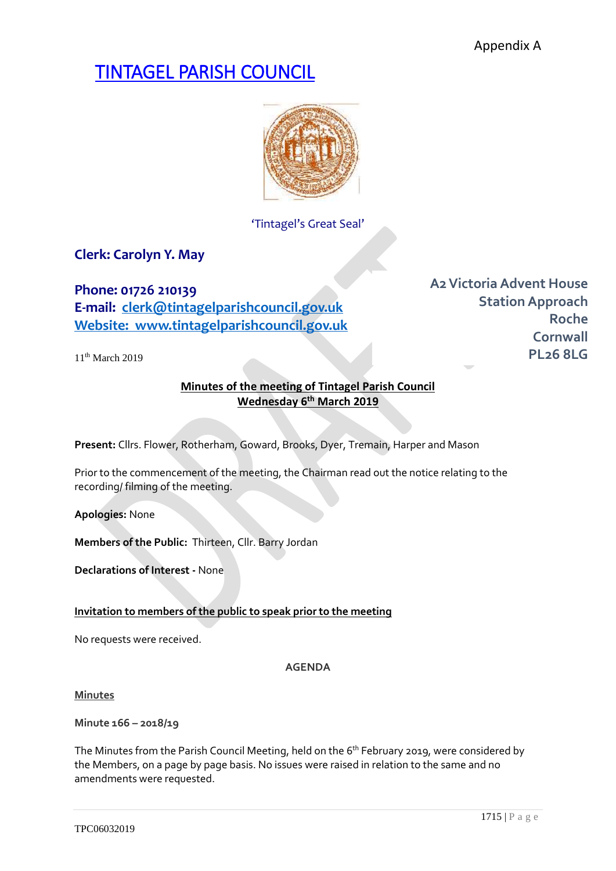# TINTAGEL PARISH COUNCIL



'Tintagel's Great Seal'

# **Clerk: Carolyn Y. May**

**Phone: 01726 210139 E-mail: [clerk@tintagelparishcouncil.gov.uk](mailto:clerk@tintagelparishcouncil.gov.uk) Website: www.tintagelparishcouncil.gov.uk**

11<sup>th</sup> March 2019

**A2Victoria Advent House Station Approach Roche Cornwall PL26 8LG**

# **Minutes of the meeting of Tintagel Parish Council Wednesday 6 th March 2019**

**Present:** Cllrs. Flower, Rotherham, Goward, Brooks, Dyer, Tremain, Harper and Mason

Prior to the commencement of the meeting, the Chairman read out the notice relating to the recording/ filming of the meeting.

**Apologies:** None

**Members of the Public:** Thirteen, Cllr. Barry Jordan

**Declarations of Interest -** None

# **Invitation to members of the public to speak prior to the meeting**

No requests were received.

**AGENDA**

**Minutes**

**Minute 166 – 2018/19**

The Minutes from the Parish Council Meeting, held on the 6<sup>th</sup> February 2019, were considered by the Members, on a page by page basis. No issues were raised in relation to the same and no amendments were requested.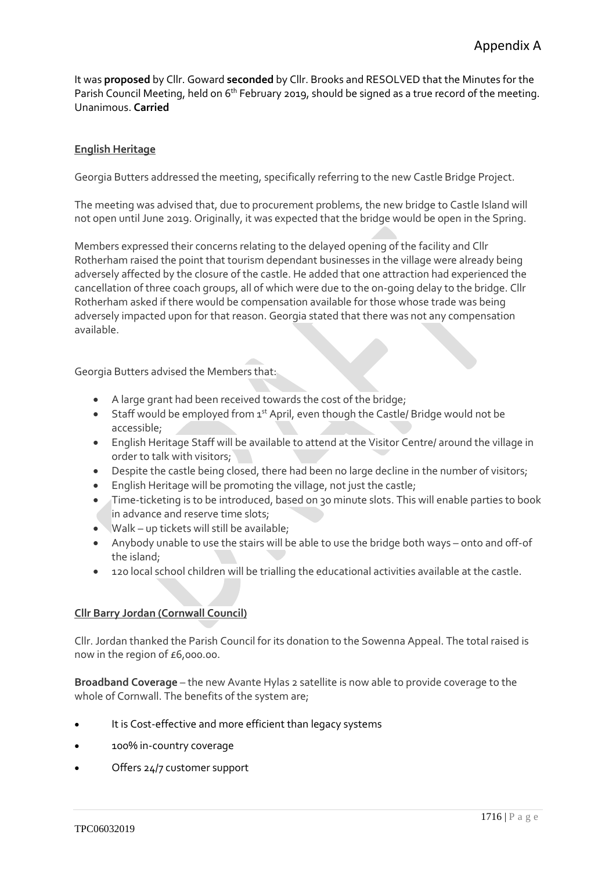It was **proposed** by Cllr. Goward **seconded** by Cllr. Brooks and RESOLVED that the Minutes for the Parish Council Meeting, held on 6<sup>th</sup> February 2019, should be signed as a true record of the meeting. Unanimous. **Carried**

# **English Heritage**

Georgia Butters addressed the meeting, specifically referring to the new Castle Bridge Project.

The meeting was advised that, due to procurement problems, the new bridge to Castle Island will not open until June 2019. Originally, it was expected that the bridge would be open in the Spring.

Members expressed their concerns relating to the delayed opening of the facility and Cllr Rotherham raised the point that tourism dependant businesses in the village were already being adversely affected by the closure of the castle. He added that one attraction had experienced the cancellation of three coach groups, all of which were due to the on-going delay to the bridge. Cllr Rotherham asked if there would be compensation available for those whose trade was being adversely impacted upon for that reason. Georgia stated that there was not any compensation available.

Georgia Butters advised the Members that:

- A large grant had been received towards the cost of the bridge;
- Staff would be employed from  $1<sup>st</sup>$  April, even though the Castle/ Bridge would not be accessible;
- English Heritage Staff will be available to attend at the Visitor Centre/ around the village in order to talk with visitors;
- Despite the castle being closed, there had been no large decline in the number of visitors;
- English Heritage will be promoting the village, not just the castle;
- Time-ticketing is to be introduced, based on 30 minute slots. This will enable parties to book in advance and reserve time slots;
- Walk up tickets will still be available;
- Anybody unable to use the stairs will be able to use the bridge both ways onto and off-of the island;
- 120 local school children will be trialling the educational activities available at the castle.

# **Cllr Barry Jordan (Cornwall Council)**

Cllr. Jordan thanked the Parish Council for its donation to the Sowenna Appeal. The total raised is now in the region of £6,000.00.

**Broadband Coverage** – the new Avante Hylas 2 satellite is now able to provide coverage to the whole of Cornwall. The benefits of the system are;

- It is Cost-effective and more efficient than legacy systems
- 100% in-country coverage
- Offers 24/7 customer support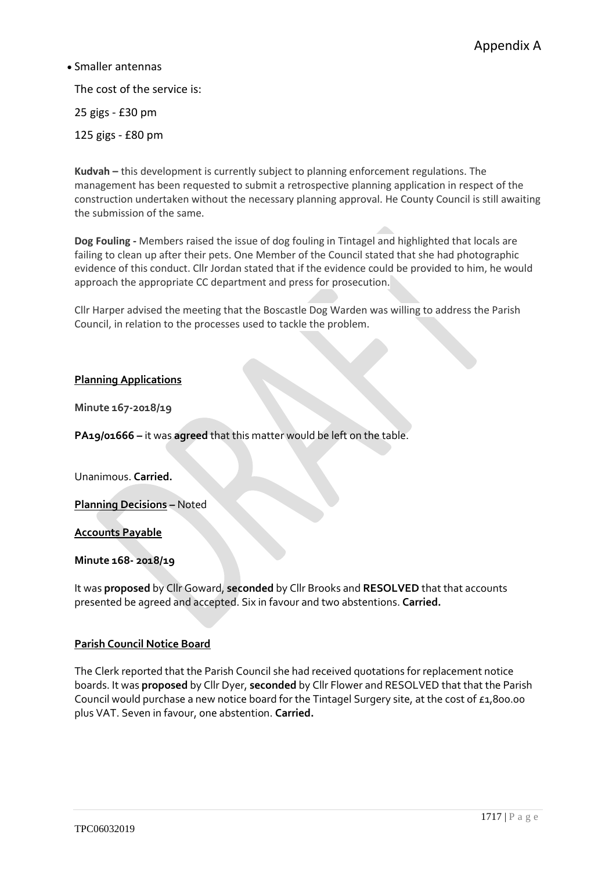# • Smaller antennas

The cost of the service is:

25 gigs - £30 pm

125 gigs - £80 pm

**Kudvah –** this development is currently subject to planning enforcement regulations. The management has been requested to submit a retrospective planning application in respect of the construction undertaken without the necessary planning approval. He County Council is still awaiting the submission of the same.

**Dog Fouling -** Members raised the issue of dog fouling in Tintagel and highlighted that locals are failing to clean up after their pets. One Member of the Council stated that she had photographic evidence of this conduct. Cllr Jordan stated that if the evidence could be provided to him, he would approach the appropriate CC department and press for prosecution.

Cllr Harper advised the meeting that the Boscastle Dog Warden was willing to address the Parish Council, in relation to the processes used to tackle the problem.

# **Planning Applications**

**Minute 167-2018/19**

**PA19/01666 –** it was **agreed** that this matter would be left on the table.

Unanimous. **Carried.**

**Planning Decisions –** Noted

**Accounts Payable**

#### **Minute 168- 2018/19**

It was **proposed** by Cllr Goward, **seconded** by Cllr Brooks and **RESOLVED** that that accounts presented be agreed and accepted. Six in favour and two abstentions. **Carried.**

#### **Parish Council Notice Board**

The Clerk reported that the Parish Council she had received quotations for replacement notice boards. It was **proposed** by Cllr Dyer, **seconded** by Cllr Flower and RESOLVED that that the Parish Council would purchase a new notice board for the Tintagel Surgery site, at the cost of £1,800.00 plus VAT. Seven in favour, one abstention. **Carried.**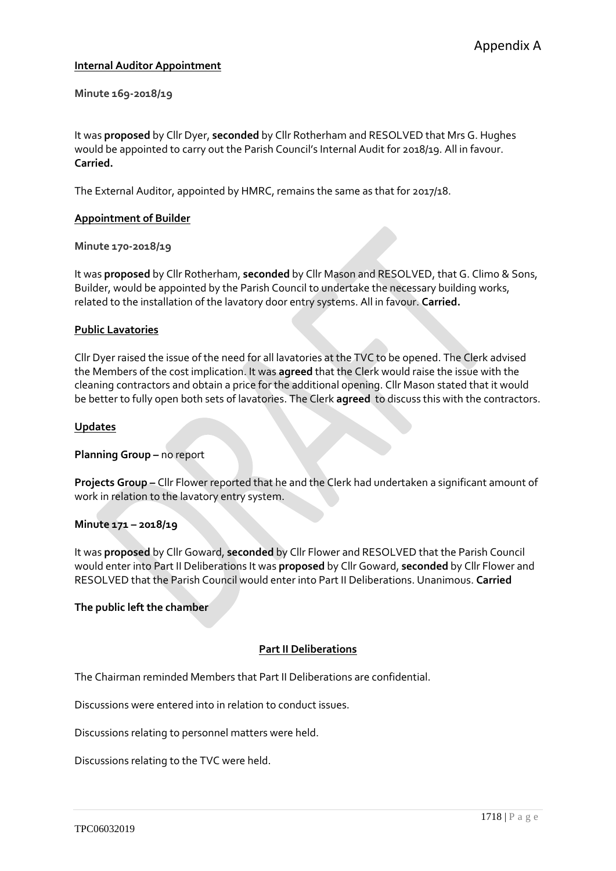### **Internal Auditor Appointment**

**Minute 169-2018/19**

It was **proposed** by Cllr Dyer, **seconded** by Cllr Rotherham and RESOLVED that Mrs G. Hughes would be appointed to carry out the Parish Council's Internal Audit for 2018/19. All in favour. **Carried.**

The External Auditor, appointed by HMRC, remains the same as that for 2017/18.

#### **Appointment of Builder**

**Minute 170-2018/19**

It was **proposed** by Cllr Rotherham, **seconded** by Cllr Mason and RESOLVED, that G. Climo & Sons, Builder, would be appointed by the Parish Council to undertake the necessary building works, related to the installation of the lavatory door entry systems. All in favour. **Carried.**

#### **Public Lavatories**

Cllr Dyer raised the issue of the need for all lavatories at the TVC to be opened. The Clerk advised the Members of the cost implication. It was **agreed** that the Clerk would raise the issue with the cleaning contractors and obtain a price for the additional opening. Cllr Mason stated that it would be better to fully open both sets of lavatories. The Clerk **agreed** to discuss this with the contractors.

#### **Updates**

**Planning Group –** no report

**Projects Group –** Cllr Flower reported that he and the Clerk had undertaken a significant amount of work in relation to the lavatory entry system.

#### **Minute 171 – 2018/19**

It was **proposed** by Cllr Goward, **seconded** by Cllr Flower and RESOLVED that the Parish Council would enter into Part II Deliberations It was **proposed** by Cllr Goward, **seconded** by Cllr Flower and RESOLVED that the Parish Council would enter into Part II Deliberations. Unanimous. **Carried**

#### **The public left the chamber**

#### **Part II Deliberations**

The Chairman reminded Members that Part II Deliberations are confidential.

Discussions were entered into in relation to conduct issues.

Discussions relating to personnel matters were held.

Discussions relating to the TVC were held.